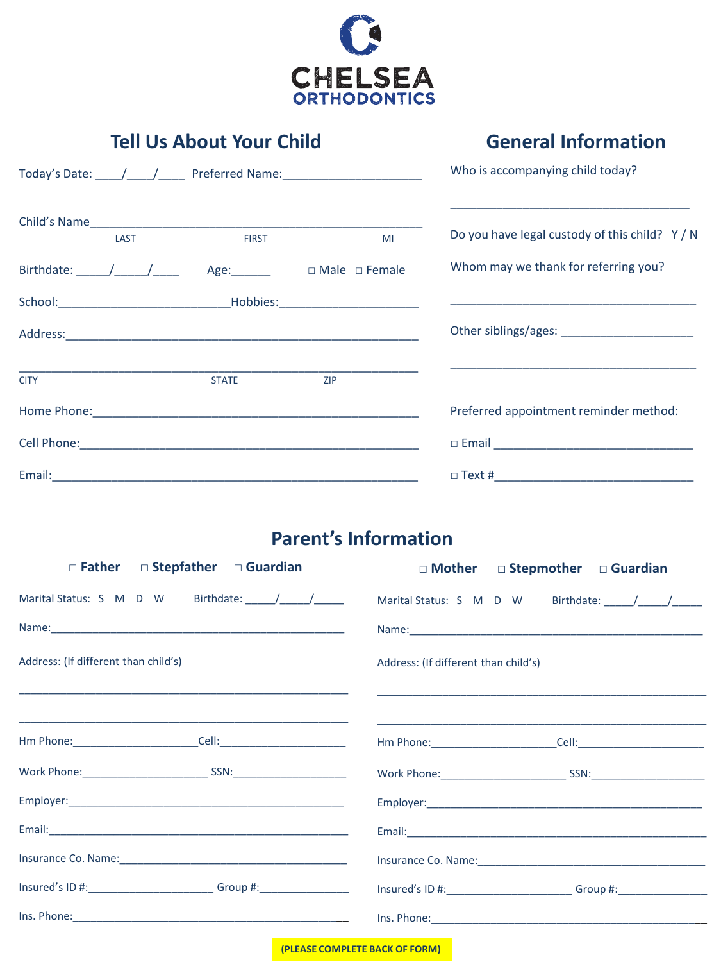

## **Tell Us About Your Child**

## **General Information**

|                                                                                                                                                                                                                                                                                                                                                                                                                      |      |              | Who is accompanying child today? |                                              |
|----------------------------------------------------------------------------------------------------------------------------------------------------------------------------------------------------------------------------------------------------------------------------------------------------------------------------------------------------------------------------------------------------------------------|------|--------------|----------------------------------|----------------------------------------------|
|                                                                                                                                                                                                                                                                                                                                                                                                                      | LAST | <b>FIRST</b> | MI                               | Do you have legal custody of this child? Y/N |
| Birthdate: $\frac{1}{\sqrt{1-\frac{1}{2}}}\frac{1}{\sqrt{1-\frac{1}{2}}}\frac{1}{\sqrt{1-\frac{1}{2}}}\frac{1}{\sqrt{1-\frac{1}{2}}}\frac{1}{\sqrt{1-\frac{1}{2}}}\frac{1}{\sqrt{1-\frac{1}{2}}}\frac{1}{\sqrt{1-\frac{1}{2}}}\frac{1}{\sqrt{1-\frac{1}{2}}}\frac{1}{\sqrt{1-\frac{1}{2}}}\frac{1}{\sqrt{1-\frac{1}{2}}}\frac{1}{\sqrt{1-\frac{1}{2}}}\frac{1}{\sqrt{1-\frac{1}{2}}}\frac{1}{\sqrt{1-\frac{1}{2}}}\$ |      |              | Age: □ Male □ Female             | Whom may we thank for referring you?         |
|                                                                                                                                                                                                                                                                                                                                                                                                                      |      |              |                                  |                                              |
|                                                                                                                                                                                                                                                                                                                                                                                                                      |      |              |                                  |                                              |
| <b>CITY</b>                                                                                                                                                                                                                                                                                                                                                                                                          |      | <b>STATE</b> | <b>ZIP</b>                       |                                              |
|                                                                                                                                                                                                                                                                                                                                                                                                                      |      |              |                                  | Preferred appointment reminder method:       |
|                                                                                                                                                                                                                                                                                                                                                                                                                      |      |              |                                  |                                              |
| Email:                                                                                                                                                                                                                                                                                                                                                                                                               |      |              | $\Box$ Text #                    |                                              |

## **Parent's Information**

| $\Box$ Father $\Box$ Stepfather $\Box$ Guardian                                  | $\Box$ Mother $\Box$ Stepmother $\Box$ Guardian |  |  |
|----------------------------------------------------------------------------------|-------------------------------------------------|--|--|
| Marital Status: S M D W Birthdate: / / /                                         | Marital Status: S M D W Birthdate: / / /        |  |  |
|                                                                                  |                                                 |  |  |
| Address: (If different than child's)                                             | Address: (If different than child's)            |  |  |
|                                                                                  |                                                 |  |  |
|                                                                                  |                                                 |  |  |
|                                                                                  |                                                 |  |  |
|                                                                                  |                                                 |  |  |
|                                                                                  |                                                 |  |  |
|                                                                                  |                                                 |  |  |
| Insured's ID #: __________________________Group #: _____________________________ | Insured's ID #: Group #: Group #:               |  |  |
|                                                                                  |                                                 |  |  |